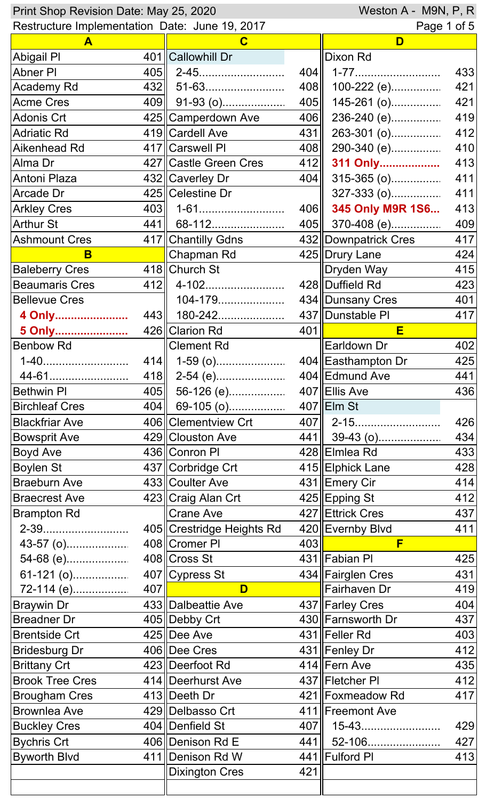| Weston A - M9N, P, R<br>Print Shop Revision Date: May 25, 2020 |     |                           |             |                      |     |  |
|----------------------------------------------------------------|-----|---------------------------|-------------|----------------------|-----|--|
| Restructure Implementation Date: June 19, 2017                 |     |                           | Page 1 of 5 |                      |     |  |
| $\mathbf{A}$                                                   |     | C                         |             | D                    |     |  |
| <b>Abigail PI</b>                                              |     | 401 Callowhill Dr         |             | <b>Dixon Rd</b>      |     |  |
| <b>Abner PI</b>                                                | 405 | 2-45                      | 404         |                      | 433 |  |
| Academy Rd                                                     | 432 | 51-63                     | 408         | 100-222 (e)          | 421 |  |
| <b>Acme Cres</b>                                               | 409 | 91-93 (o)                 | 405         | 145-261 (o)          | 421 |  |
| Adonis Crt                                                     |     | 425 Camperdown Ave        | 406         | 236-240 (e)          | 419 |  |
| <b>Adriatic Rd</b>                                             |     | 419 Cardell Ave           | 431         | 263-301 (0)          | 412 |  |
| Aikenhead Rd                                                   |     | 417 Carswell PI           | 408         | 290-340 (e)          | 410 |  |
| Alma Dr                                                        |     | 427 Castle Green Cres     | 412         | 311 Only             | 413 |  |
| Antoni Plaza                                                   |     | 432 Caverley Dr           | 404         | $315-365$ (o)        | 411 |  |
| <b>Arcade Dr</b>                                               |     | 425 Celestine Dr          |             | 327-333 (o)          | 411 |  |
| <b>Arkley Cres</b>                                             | 403 | 1-61                      | 406         | 345 Only M9R 1S6     | 413 |  |
| <b>Arthur St</b>                                               | 441 | 68-112                    | 405         | 370-408 (e)          | 409 |  |
| <b>Ashmount Cres</b>                                           |     | 417 Chantilly Gdns        |             | 432 Downpatrick Cres | 417 |  |
| B                                                              |     | Chapman Rd                |             | 425 Drury Lane       | 424 |  |
| <b>Baleberry Cres</b>                                          |     | 418 Church St             |             | Dryden Way           | 415 |  |
| <b>Beaumaris Cres</b>                                          | 412 | 4-102                     |             | 428 Duffield Rd      | 423 |  |
| <b>Bellevue Cres</b>                                           |     | 104-179                   |             | 434 Dunsany Cres     | 401 |  |
| 4 Only                                                         | 443 | 180-242                   |             | 437 Dunstable PI     | 417 |  |
| 5 Only                                                         |     | 426 Clarion Rd            | 401         | Е                    |     |  |
| <b>Benbow Rd</b>                                               |     | <b>Clement Rd</b>         |             | Earldown Dr          | 402 |  |
|                                                                |     | $414$   1-59 (o)          |             | 404 Easthampton Dr   | 425 |  |
| 44-61                                                          | 418 | 2-54 (e)                  |             | 404 Edmund Ave       | 441 |  |
| <b>Bethwin PI</b>                                              | 405 | 56-126 (e)                |             | 407 Ellis Ave        | 436 |  |
| <b>Birchleaf Cres</b>                                          | 404 | 69-105 (o)                |             | $407$   Elm St       |     |  |
| <b>Blackfriar Ave</b>                                          |     | 406 Clementview Crt       | 407         | 2-15                 | 426 |  |
| <b>Bowsprit Ave</b>                                            |     | 429 Clouston Ave          |             |                      | 434 |  |
| <b>Boyd Ave</b>                                                |     | 436 Conron PI             |             | 428 Elmlea Rd        | 433 |  |
| <b>Boylen St</b>                                               |     | 437 Corbridge Crt         |             | 415 Elphick Lane     | 428 |  |
| <b>Braeburn Ave</b>                                            |     | 433 Coulter Ave           |             | 431 Emery Cir        | 414 |  |
| <b>Braecrest Ave</b>                                           |     | 423 Craig Alan Crt        |             | 425 Epping St        | 412 |  |
| <b>Brampton Rd</b>                                             |     | <b>Crane Ave</b>          |             | 427 Ettrick Cres     | 437 |  |
| 2-39                                                           |     | 405 Crestridge Heights Rd |             | 420 Evernby Blvd     | 411 |  |
| 43-57 (o)                                                      |     | 408 Cromer PI             | 403         | F                    |     |  |
| 54-68 (e)                                                      |     | 408 Cross St              |             | 431 Fabian Pl        | 425 |  |
| 61-121 (o)                                                     |     | 407 Cypress St            |             | 434 Fairglen Cres    | 431 |  |
| 72-114 (e)                                                     | 407 | D                         |             | Fairhaven Dr         | 419 |  |
| <b>Braywin Dr</b>                                              |     | 433 Dalbeattie Ave        |             | 437 Farley Cres      | 404 |  |
| <b>Breadner Dr</b>                                             |     | 405 Debby Crt             |             | 430 Farnsworth Dr    | 437 |  |
| <b>Brentside Crt</b>                                           |     | 425 Dee Ave               |             | 431 Feller Rd        | 403 |  |
| <b>Bridesburg Dr</b>                                           |     | 406 Dee Cres              |             | 431 Fenley Dr        | 412 |  |
| <b>Brittany Crt</b>                                            |     | 423 Deerfoot Rd           |             | 414 Fern Ave         | 435 |  |
| <b>Brook Tree Cres</b>                                         |     | 414 Deerhurst Ave         |             | 437 Fletcher PI      | 412 |  |
| <b>Brougham Cres</b>                                           |     | 413 Deeth Dr              |             | 421 Foxmeadow Rd     | 417 |  |
| <b>Brownlea Ave</b>                                            |     | 429 Delbasso Crt          |             | 411 Freemont Ave     |     |  |
| <b>Buckley Cres</b>                                            |     | 404   Denfield St         | 407         | 15-43                | 429 |  |
| <b>Bychris Crt</b>                                             |     | 406 Denison Rd E          | 441         | 52-106               | 427 |  |
| <b>Byworth Blvd</b>                                            |     | 411 Denison Rd W          |             | 441 Fulford PI       | 413 |  |
|                                                                |     | <b>Dixington Cres</b>     | 421         |                      |     |  |
|                                                                |     |                           |             |                      |     |  |
|                                                                |     |                           |             |                      |     |  |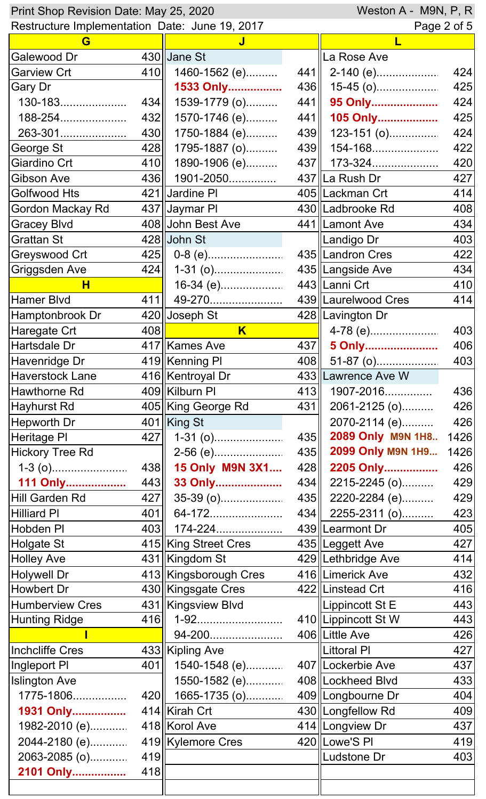| Print Shop Revision Date: May 25, 2020<br>Weston A - M9N, P, R |                   |                       |     |                             |             |
|----------------------------------------------------------------|-------------------|-----------------------|-----|-----------------------------|-------------|
| Restructure Implementation Date: June 19, 2017                 |                   |                       |     |                             | Page 2 of 5 |
| G                                                              |                   |                       |     |                             |             |
| Galewood Dr                                                    |                   | $430$ Jane St         |     | La Rose Ave                 |             |
| <b>Garview Crt</b>                                             | 410               | 1460-1562 (e)         | 441 | 2-140 (e)                   | 424         |
| <b>Gary Dr</b>                                                 |                   | 1533 Only             | 436 | $15-45$ (o)                 | 425         |
| 130-183                                                        | 434               | 1539-1779 (o)         | 441 | 95 Only                     | 424         |
| 188-254                                                        | 432               | 1570-1746 (e)         | 441 | 105 Only                    | 425         |
| 263-301                                                        | 430               | 1750-1884 (e)         | 439 | $123 - 151$ (o)             | 424         |
| George St                                                      | 428               | 1795-1887 (o)         | 439 | 154-168                     | 422         |
| Giardino Crt                                                   | 410               | 1890-1906 (e)         | 437 | 173-324                     | 420         |
| <b>Gibson Ave</b>                                              | 436               | 1901-2050             |     | 437∥La Rush Dr              | 427         |
| <b>Golfwood Hts</b>                                            |                   | 421 Jardine PI        |     | 405 Lackman Crt             | 414         |
| Gordon Mackay Rd                                               |                   | 437 Jaymar PI         |     | 430 Ladbrooke Rd            | 408         |
| <b>Gracey Blvd</b>                                             |                   | 408 John Best Ave     |     | 441 Lamont Ave              | 434         |
| <b>Grattan St</b>                                              |                   | 428 John St           |     | ∥Landigo Dr                 | 403         |
| Greyswood Crt                                                  | 425               |                       |     | 435 Landron Cres            | 422         |
| Griggsden Ave                                                  | 424               |                       |     | 435 Langside Ave            | 434         |
| н                                                              |                   | $16-34$ (e)           |     | 443 Lanni Crt               | 410         |
| <b>Hamer Blvd</b>                                              | 411               | 49-270                |     | 439 Laurelwood Cres         | 414         |
| Hamptonbrook Dr                                                |                   | 420 Joseph St         |     | 428   Lavington Dr          |             |
| Haregate Crt                                                   | 408 <sup>II</sup> | K                     |     | 4-78 (e)                    | 403         |
| Hartsdale Dr                                                   |                   | 417 Kames Ave         | 437 | 5 Only                      | 406         |
| Havenridge Dr                                                  |                   | 419 Kenning Pl        |     | 408 51-87 (o) <u></u>       | 403         |
| <b>Haverstock Lane</b>                                         |                   | 416 Kentroyal Dr      |     | 433 Lawrence Ave W          |             |
| <b>Hawthorne Rd</b>                                            |                   | 409 Kilburn Pl        | 413 | 1907-2016                   | 436         |
| Hayhurst Rd                                                    |                   | 405   King George Rd  | 431 | 2061-2125 (o)               | 426         |
| Hepworth Dr                                                    |                   | $401$ King St         |     | 2070-2114 (e)               | 426         |
| Heritage PI                                                    | 427               | $1-31$ (0)            | 435 | 2089 Only M9N 1H8           | 1426        |
| <b>Hickory Tree Rd</b>                                         |                   | 2-56 (e)              | 435 | 2099 Only M9N 1H9           | 1426        |
|                                                                |                   | 438 15 Only M9N 3X1   | 428 | 2205 Only                   | 426         |
| 111 Only                                                       | 443               | 33 Only               | 434 | 2215-2245 (o)               | 429         |
| Hill Garden Rd                                                 | 427               | $35-39$ (o)           | 435 | 2220-2284 (e)               | 429         |
| <b>Hilliard PI</b>                                             | 401               | 64-172                | 434 | 2255-2311 (o)               | 423         |
| Hobden PI                                                      | 403               | 174-224               |     | 439 Learmont Dr             | 405         |
| Holgate St                                                     |                   | 415  King Street Cres |     | 435 Leggett Ave             | 427         |
| <b>Holley Ave</b>                                              |                   | 431  Kingdom St       |     | 429 Lethbridge Ave          | 414         |
| Holywell Dr                                                    |                   | 413 Kingsborough Cres |     | 416   Limerick Ave          | 432         |
| <b>Howbert Dr</b>                                              |                   | 430 Kingsgate Cres    |     | 422 Linstead Crt            | 416         |
| <b>Humberview Cres</b>                                         |                   | 431   Kingsview Blvd  |     | $\parallel$ Lippincott St E | 443         |
| <b>Hunting Ridge</b>                                           | 416               | 1-92                  |     | 410 Lippincott St W         | 443         |
|                                                                |                   | 94-200                |     | 406 Little Ave              | 426         |
| <b>Inchcliffe Cres</b>                                         |                   | 433 Kipling Ave       |     | ∥Littoral Pl                | 427         |
| Ingleport PI                                                   | 401               | 1540-1548 (e)         |     | 407 Lockerbie Ave           | 437         |
| <b>Islington Ave</b>                                           |                   | 1550-1582 (e)         |     | 408 Lockheed Blvd           | 433         |
| 1775-1806                                                      |                   | 420    1665-1735 (o)  |     | 409 Longbourne Dr           | 404         |
| 1931 Only                                                      |                   | 414 Kirah Crt         |     | 430   Longfellow Rd         | 409         |
| 1982-2010 (e)                                                  |                   | 418 Korol Ave         |     | 414 Longview Dr             | 437         |
| 2044-2180 (e)                                                  |                   | 419 Kylemore Cres     |     | 420 Lowe'S PI               | 419         |
| 2063-2085 (o)                                                  | 419               |                       |     | Ludstone Dr                 | 403         |
| 2101 Only                                                      | 418               |                       |     |                             |             |
|                                                                |                   |                       |     |                             |             |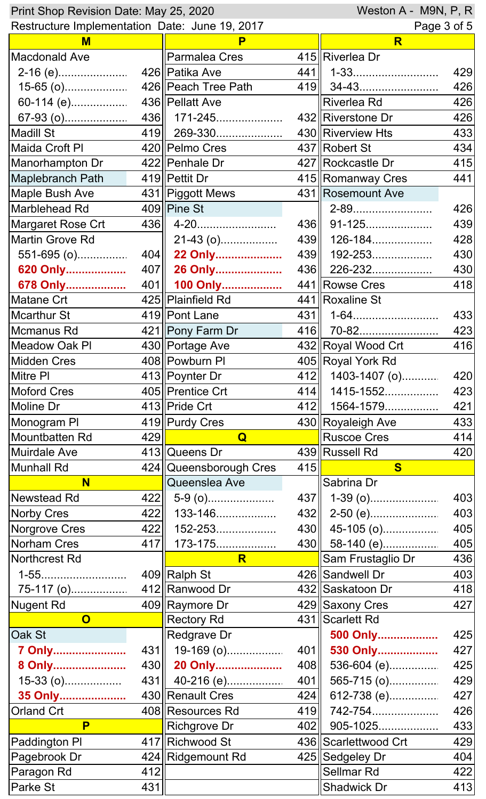| Weston A - M9N, P, R<br>Print Shop Revision Date: May 25, 2020 |     |                         |     |                         |     |
|----------------------------------------------------------------|-----|-------------------------|-----|-------------------------|-----|
| Restructure Implementation Date: June 19, 2017                 |     |                         |     | Page 3 of 5             |     |
| M                                                              |     | P                       |     | R                       |     |
| <b>Macdonald Ave</b>                                           |     | <b>Parmalea Cres</b>    |     | 415 Riverlea Dr         |     |
|                                                                |     | 426 Patika Ave          | 441 | 1-33                    | 429 |
| $15-65$ (o)                                                    |     | 426 Peach Tree Path     | 419 | 34-43                   | 426 |
| 60-114 (e)                                                     |     | 436   Pellatt Ave       |     | Riverlea Rd             | 426 |
| 67-93 (o)                                                      |     | 436   171-245           |     | 432 Riverstone Dr       | 426 |
| <b>Madill St</b>                                               |     | 419    269-330          |     | 430 Riverview Hts       | 433 |
| Maida Croft PI                                                 |     | 420 Pelmo Cres          |     | 437 Robert St           | 434 |
| Manorhampton Dr                                                |     | 422 Penhale Dr          |     | 427 Rockcastle Dr       | 415 |
| Maplebranch Path                                               |     | 419   Pettit Dr         |     | 415 Romanway Cres       | 441 |
| Maple Bush Ave                                                 |     | 431   Piggott Mews      |     | 431 Rosemount Ave       |     |
| Marblehead Rd                                                  |     | $409$ Pine St           |     | 2-89                    | 426 |
| Margaret Rose Crt                                              | 436 | 4-20                    | 436 | 91-125                  | 439 |
| <b>Martin Grove Rd</b>                                         |     | $21-43$ (o)             | 439 | 126-184                 | 428 |
| $551-695$ (o)                                                  | 404 | 22 Only                 | 439 | 192-253                 | 430 |
| 620 Only                                                       |     | 407 26 Only             | 436 | 226-232                 | 430 |
| 678 Only                                                       |     | 401  100 Only           |     | 441 Rowse Cres          | 418 |
| Matane Crt                                                     |     | 425   Plainfield Rd     |     | 441 Roxaline St         |     |
| Mcarthur St                                                    |     | 419  Pont Lane          | 431 |                         | 433 |
| Mcmanus Rd                                                     |     | 421   Pony Farm Dr      | 416 | 70-82                   | 423 |
| <b>Meadow Oak PI</b>                                           |     | 430 Portage Ave         |     | 432 Royal Wood Crt      | 416 |
| <b>Midden Cres</b>                                             |     | 408 Powburn PI          |     | 405 Royal York Rd       |     |
| Mitre PI                                                       |     | 413  Poynter Dr         | 412 | 1403-1407 (o)           | 420 |
| <b>Moford Cres</b>                                             |     | 405   Prentice Crt      | 414 | 1415-1552               | 423 |
| Moline Dr                                                      |     | 413   Pride Crt         | 412 | 1564-1579               | 421 |
| Monogram PI                                                    |     | 419 Purdy Cres          |     | 430 Royaleigh Ave       | 433 |
| Mountbatten Rd                                                 | 429 | Q                       |     | <b>Ruscoe Cres</b>      | 414 |
| <b>Muirdale Ave</b>                                            |     | 413 Queens Dr           |     | 439 Russell Rd          | 420 |
| <b>Munhall Rd</b>                                              |     | 424  Queensborough Cres | 415 | $\overline{\mathbf{s}}$ |     |
| N                                                              |     | Queenslea Ave           |     | Sabrina Dr              |     |
| <b>Newstead Rd</b>                                             | 422 | $5-9$ (o)               | 437 |                         | 403 |
| <b>Norby Cres</b>                                              | 422 | 133-146                 |     | $432$   2-50 (e)        | 403 |
| <b>Norgrove Cres</b>                                           | 422 | 152-253                 | 430 | 45-105 (o)              | 405 |
| <b>Norham Cres</b>                                             | 417 | 173-175                 | 430 | 58-140 (e)              | 405 |
| Northcrest Rd                                                  |     | R.                      |     | Sam Frustaglio Dr       | 436 |
| 1-55                                                           |     | 409 Ralph St            |     | 426 Sandwell Dr         | 403 |
| 75-117 (o)                                                     |     | 412 Ranwood Dr          |     | 432 Saskatoon Dr        | 418 |
| <b>Nugent Rd</b>                                               |     | 409 Raymore Dr          |     | 429 Saxony Cres         | 427 |
| $\overline{\mathbf{O}}$                                        |     | <b>Rectory Rd</b>       |     | 431 Scarlett Rd         |     |
| Oak St                                                         |     | Redgrave Dr             |     | 500 Only                | 425 |
| 7 Only                                                         | 431 | 19-169 (o)              | 401 | 530 Only                | 427 |
| 8 Only                                                         |     | 430   20 Only           | 408 | 536-604 (e)             | 425 |
| $15-33$ (0)                                                    |     | 431    40-216 (e)       | 401 | 565-715 (o)             | 429 |
|                                                                |     | 430 Renault Cres        | 424 |                         | 427 |
| 35 Only<br><b>Orland Crt</b>                                   |     | 408 Resources Rd        | 419 | 612-738 (e)<br>742-754  | 426 |
| P                                                              |     |                         |     | 905-1025                |     |
|                                                                |     | <b>Richgrove Dr</b>     | 402 |                         | 433 |
| Paddington PI                                                  |     | 417 Richwood St         |     | 436 Scarlettwood Crt    | 429 |
| Pagebrook Dr                                                   |     | 424 Ridgemount Rd       |     | 425 Sedgeley Dr         | 404 |
| Paragon Rd                                                     | 412 |                         |     | Sellmar Rd              | 422 |
| Parke St                                                       | 431 |                         |     | <b>Shadwick Dr</b>      | 413 |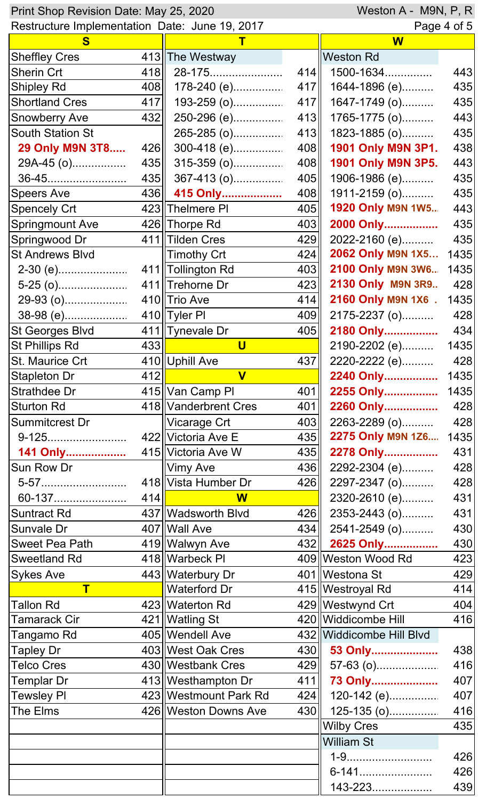| Weston A - M9N, P, R<br>Print Shop Revision Date: May 25, 2020 |     |                         |     |                          |      |
|----------------------------------------------------------------|-----|-------------------------|-----|--------------------------|------|
| Restructure Implementation Date: June 19, 2017                 |     |                         |     | Page 4 of 5              |      |
| S                                                              |     |                         |     | W                        |      |
| <b>Sheffley Cres</b>                                           |     | 413  The Westway        |     | <b>Weston Rd</b>         |      |
| Sherin Crt                                                     | 418 | 28-175                  | 414 | 1500-1634                | 443  |
| <b>Shipley Rd</b>                                              | 408 | $178-240$ (e)           | 417 | 1644-1896 (e)            | 435  |
| <b>Shortland Cres</b>                                          | 417 | 193-259 (o)             | 417 | 1647-1749 (o)            | 435  |
| <b>Snowberry Ave</b>                                           | 432 | 250-296 (e)             | 413 | 1765-1775 (o)            | 443  |
| <b>South Station St</b>                                        |     | 265-285 (o)             | 413 | 1823-1885 (o)            | 435  |
| 29 Only M9N 3T8                                                | 426 | 300-418 (e)             | 408 | 1901 Only M9N 3P1.       | 438  |
| 29A-45 (o)                                                     | 435 | 315-359 (o)             | 408 | 1901 Only M9N 3P5.       | 443  |
| 36-45                                                          | 435 | 367-413 (o)             | 405 | 1906-1986 (e)            | 435  |
| <b>Speers Ave</b>                                              |     | 436    415 Only         | 408 | 1911-2159 (o)            | 435  |
| <b>Spencely Crt</b>                                            |     | 423 Thelmere PI         | 405 | 1920 Only M9N 1W5        | 443  |
| <b>Springmount Ave</b>                                         |     | 426 Thorpe Rd           | 403 | 2000 Only                | 435  |
| Springwood Dr                                                  |     | 411 Tilden Cres         | 429 | 2022-2160 (e)            | 435  |
| <b>St Andrews Blvd</b>                                         |     | <b>Timothy Crt</b>      | 424 | 2062 Only M9N 1X5        | 1435 |
| 2-30 (e)                                                       |     | 411 Tollington Rd       | 403 | 2100 Only M9N 3W6        | 1435 |
|                                                                |     | 411 Trehorne Dr         | 423 | 2130 Only M9N 3R9        | 428  |
| 29-93 (o)                                                      |     | 410 Trio Ave            | 414 | 2160 Only M9N 1X6 .      | 1435 |
| 38-98 (e)                                                      |     | 410 Tyler PI            | 409 | 2175-2237 (o)            | 428  |
| St Georges Blvd                                                |     | 411  Tynevale Dr        | 405 | 2180 Only                | 434  |
| St Phillips Rd                                                 | 433 | $\overline{\mathsf{u}}$ |     | 2190-2202 (e)            | 1435 |
| St. Maurice Crt                                                |     | 410 Uphill Ave          | 437 | 2220-2222 (e)            | 428  |
| <b>Stapleton Dr</b>                                            | 412 | $\overline{\mathsf{v}}$ |     | 2240 Only                | 1435 |
| Strathdee Dr                                                   |     | 415 Van Camp PI         | 401 | 2255 Only                | 1435 |
| <b>Sturton Rd</b>                                              |     | 418 Vanderbrent Cres    | 401 | 2260 Only                | 428  |
| <b>Summitcrest Dr</b>                                          |     | <b>Vicarage Crt</b>     | 403 | 2263-2289 (o)            | 428  |
| 9-125                                                          |     | 422 Victoria Ave E      | 435 | 2275 Only M9N 1Z6        | 1435 |
| 141 Only                                                       |     | 415 Victoria Ave W      | 435 | 2278 Only                | 431  |
| Sun Row Dr                                                     |     | <b>Vimy Ave</b>         | 436 | 2292-2304 (e)            | 428  |
| 5-57                                                           |     | 418 Vista Humber Dr     | 426 | 2297-2347 (o)            | 428  |
| 60-137                                                         | 414 | $\overline{\mathsf{W}}$ |     | 2320-2610 (e)            | 431  |
| <b>Suntract Rd</b>                                             |     | 437 Wadsworth Blvd      | 426 | 2353-2443 (o)            | 431  |
| Sunvale Dr                                                     |     | 407 Wall Ave            | 434 | 2541-2549 (o)            | 430  |
| <b>Sweet Pea Path</b>                                          |     | 419 Walwyn Ave          | 432 | 2625 Only                | 430  |
| <b>Sweetland Rd</b>                                            |     | 418   Warbeck PI        |     | 409 Weston Wood Rd       | 423  |
| <b>Sykes Ave</b>                                               |     | 443   Waterbury Dr      |     | 401   Westona St         | 429  |
| Τ                                                              |     | <b>Waterford Dr</b>     |     | 415   Westroyal Rd       | 414  |
| <b>Tallon Rd</b>                                               |     | 423 Waterton Rd         |     | 429 Westwynd Crt         | 404  |
| <b>Tamarack Cir</b>                                            |     | 421   Watling St        |     | 420 Widdicombe Hill      | 416  |
| Tangamo Rd                                                     |     | 405   Wendell Ave       |     | 432 Widdicombe Hill Blvd |      |
| <b>Tapley Dr</b>                                               |     | 403 West Oak Cres       | 430 | 53 Only                  | 438  |
| <b>Telco Cres</b>                                              |     | 430   Westbank Cres     | 429 | 57-63 (o)                | 416  |
| <b>Templar Dr</b>                                              |     | 413   Westhampton Dr    | 411 | 73 Only                  | 407  |
| <b>Tewsley PI</b>                                              |     | 423   Westmount Park Rd | 424 | $120-142$ (e)            | 407  |
| The Elms                                                       |     | 426   Weston Downs Ave  | 430 | $125-135$ (o)            | 416  |
|                                                                |     |                         |     | <b>Wilby Cres</b>        | 435  |
|                                                                |     |                         |     | <b>William St</b>        |      |
|                                                                |     |                         |     | 1-9                      | 426  |
|                                                                |     |                         |     | 6-141                    | 426  |
|                                                                |     |                         |     | 143-223                  | 439  |